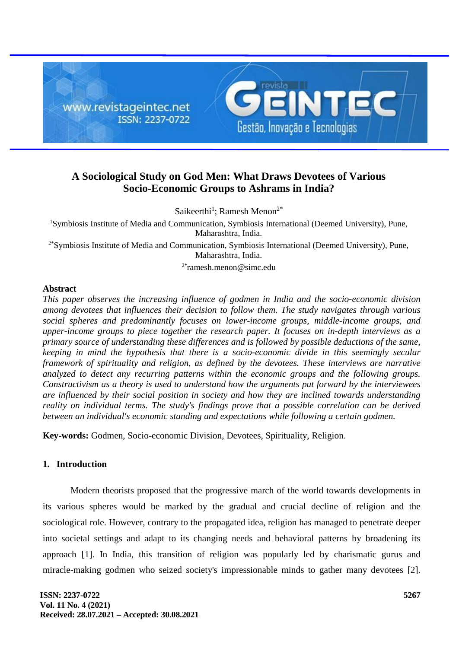

# **A Sociological Study on God Men: What Draws Devotees of Various Socio-Economic Groups to Ashrams in India?**

Saikeerthi<sup>1</sup>; Ramesh Menon<sup>2\*</sup>

<sup>1</sup>Symbiosis Institute of Media and Communication, Symbiosis International (Deemed University), Pune, Maharashtra, India.

2\*Symbiosis Institute of Media and Communication, Symbiosis International (Deemed University), Pune, Maharashtra, India.

2\* ramesh.menon@simc.edu

## **Abstract**

*This paper observes the increasing influence of godmen in India and the socio-economic division among devotees that influences their decision to follow them. The study navigates through various social spheres and predominantly focuses on lower-income groups, middle-income groups, and upper-income groups to piece together the research paper. It focuses on in-depth interviews as a primary source of understanding these differences and is followed by possible deductions of the same, keeping in mind the hypothesis that there is a socio-economic divide in this seemingly secular framework of spirituality and religion, as defined by the devotees. These interviews are narrative analyzed to detect any recurring patterns within the economic groups and the following groups. Constructivism as a theory is used to understand how the arguments put forward by the interviewees are influenced by their social position in society and how they are inclined towards understanding reality on individual terms. The study's findings prove that a possible correlation can be derived between an individual's economic standing and expectations while following a certain godmen.*

**Key-words:** Godmen, Socio-economic Division, Devotees, Spirituality, Religion.

## **1. Introduction**

Modern theorists proposed that the progressive march of the world towards developments in its various spheres would be marked by the gradual and crucial decline of religion and the sociological role. However, contrary to the propagated idea, religion has managed to penetrate deeper into societal settings and adapt to its changing needs and behavioral patterns by broadening its approach [1]. In India, this transition of religion was popularly led by charismatic gurus and miracle-making godmen who seized society's impressionable minds to gather many devotees [2].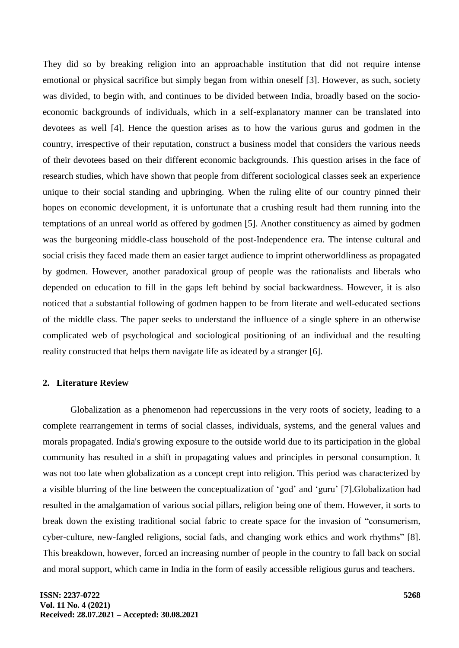They did so by breaking religion into an approachable institution that did not require intense emotional or physical sacrifice but simply began from within oneself [3]. However, as such, society was divided, to begin with, and continues to be divided between India, broadly based on the socioeconomic backgrounds of individuals, which in a self-explanatory manner can be translated into devotees as well [4]. Hence the question arises as to how the various gurus and godmen in the country, irrespective of their reputation, construct a business model that considers the various needs of their devotees based on their different economic backgrounds. This question arises in the face of research studies, which have shown that people from different sociological classes seek an experience unique to their social standing and upbringing. When the ruling elite of our country pinned their hopes on economic development, it is unfortunate that a crushing result had them running into the temptations of an unreal world as offered by godmen [5]. Another constituency as aimed by godmen was the burgeoning middle-class household of the post-Independence era. The intense cultural and social crisis they faced made them an easier target audience to imprint otherworldliness as propagated by godmen. However, another paradoxical group of people was the rationalists and liberals who depended on education to fill in the gaps left behind by social backwardness. However, it is also noticed that a substantial following of godmen happen to be from literate and well-educated sections of the middle class. The paper seeks to understand the influence of a single sphere in an otherwise complicated web of psychological and sociological positioning of an individual and the resulting reality constructed that helps them navigate life as ideated by a stranger [6].

# **2. Literature Review**

Globalization as a phenomenon had repercussions in the very roots of society, leading to a complete rearrangement in terms of social classes, individuals, systems, and the general values and morals propagated. India's growing exposure to the outside world due to its participation in the global community has resulted in a shift in propagating values and principles in personal consumption. It was not too late when globalization as a concept crept into religion. This period was characterized by a visible blurring of the line between the conceptualization of 'god' and 'guru' [7].Globalization had resulted in the amalgamation of various social pillars, religion being one of them. However, it sorts to break down the existing traditional social fabric to create space for the invasion of "consumerism, cyber-culture, new-fangled religions, social fads, and changing work ethics and work rhythms" [8]. This breakdown, however, forced an increasing number of people in the country to fall back on social and moral support, which came in India in the form of easily accessible religious gurus and teachers.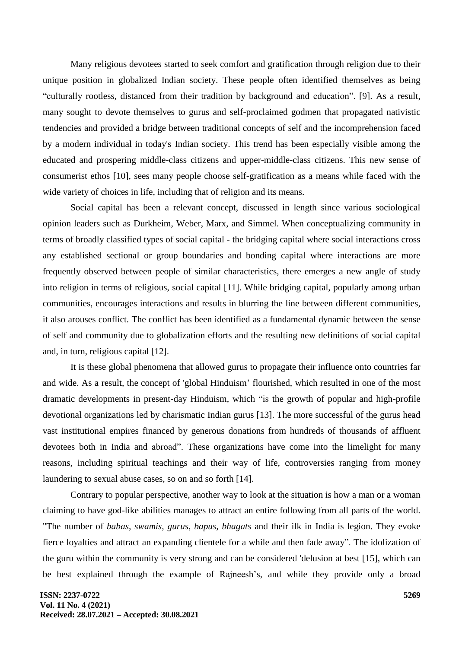Many religious devotees started to seek comfort and gratification through religion due to their unique position in globalized Indian society. These people often identified themselves as being "culturally rootless, distanced from their tradition by background and education". [9]. As a result, many sought to devote themselves to gurus and self-proclaimed godmen that propagated nativistic tendencies and provided a bridge between traditional concepts of self and the incomprehension faced by a modern individual in today's Indian society. This trend has been especially visible among the educated and prospering middle-class citizens and upper-middle-class citizens. This new sense of consumerist ethos [10], sees many people choose self-gratification as a means while faced with the wide variety of choices in life, including that of religion and its means.

Social capital has been a relevant concept, discussed in length since various sociological opinion leaders such as Durkheim, Weber, Marx, and Simmel. When conceptualizing community in terms of broadly classified types of social capital - the bridging capital where social interactions cross any established sectional or group boundaries and bonding capital where interactions are more frequently observed between people of similar characteristics, there emerges a new angle of study into religion in terms of religious, social capital [11]. While bridging capital, popularly among urban communities, encourages interactions and results in blurring the line between different communities, it also arouses conflict. The conflict has been identified as a fundamental dynamic between the sense of self and community due to globalization efforts and the resulting new definitions of social capital and, in turn, religious capital [12].

It is these global phenomena that allowed gurus to propagate their influence onto countries far and wide. As a result, the concept of 'global Hinduism' flourished, which resulted in one of the most dramatic developments in present-day Hinduism, which "is the growth of popular and high-profile devotional organizations led by charismatic Indian gurus [13]. The more successful of the gurus head vast institutional empires financed by generous donations from hundreds of thousands of affluent devotees both in India and abroad". These organizations have come into the limelight for many reasons, including spiritual teachings and their way of life, controversies ranging from money laundering to sexual abuse cases, so on and so forth [14].

Contrary to popular perspective, another way to look at the situation is how a man or a woman claiming to have god-like abilities manages to attract an entire following from all parts of the world. "The number of *babas, swamis, gurus, bapus, bhagats* and their ilk in India is legion. They evoke fierce loyalties and attract an expanding clientele for a while and then fade away". The idolization of the guru within the community is very strong and can be considered 'delusion at best [15], which can be best explained through the example of Rajneesh's, and while they provide only a broad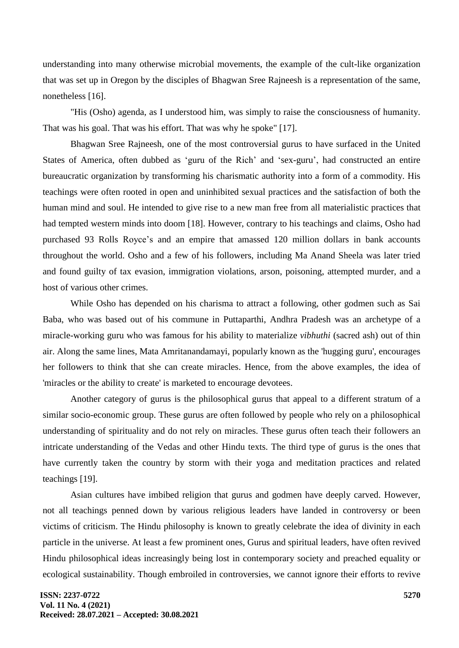understanding into many otherwise microbial movements, the example of the cult-like organization that was set up in Oregon by the disciples of Bhagwan Sree Rajneesh is a representation of the same, nonetheless [16].

"His (Osho) agenda, as I understood him, was simply to raise the consciousness of humanity. That was his goal. That was his effort. That was why he spoke" [17].

Bhagwan Sree Rajneesh, one of the most controversial gurus to have surfaced in the United States of America, often dubbed as 'guru of the Rich' and 'sex-guru', had constructed an entire bureaucratic organization by transforming his charismatic authority into a form of a commodity. His teachings were often rooted in open and uninhibited sexual practices and the satisfaction of both the human mind and soul. He intended to give rise to a new man free from all materialistic practices that had tempted western minds into doom [18]. However, contrary to his teachings and claims, Osho had purchased 93 Rolls Royce's and an empire that amassed 120 million dollars in bank accounts throughout the world. Osho and a few of his followers, including Ma Anand Sheela was later tried and found guilty of tax evasion, immigration violations, arson, poisoning, attempted murder, and a host of various other crimes.

While Osho has depended on his charisma to attract a following, other godmen such as Sai Baba, who was based out of his commune in Puttaparthi, Andhra Pradesh was an archetype of a miracle-working guru who was famous for his ability to materialize *vibhuthi* (sacred ash) out of thin air. Along the same lines, Mata Amritanandamayi, popularly known as the 'hugging guru', encourages her followers to think that she can create miracles. Hence, from the above examples, the idea of 'miracles or the ability to create' is marketed to encourage devotees.

Another category of gurus is the philosophical gurus that appeal to a different stratum of a similar socio-economic group. These gurus are often followed by people who rely on a philosophical understanding of spirituality and do not rely on miracles. These gurus often teach their followers an intricate understanding of the Vedas and other Hindu texts. The third type of gurus is the ones that have currently taken the country by storm with their yoga and meditation practices and related teachings [19].

Asian cultures have imbibed religion that gurus and godmen have deeply carved. However, not all teachings penned down by various religious leaders have landed in controversy or been victims of criticism. The Hindu philosophy is known to greatly celebrate the idea of divinity in each particle in the universe. At least a few prominent ones, Gurus and spiritual leaders, have often revived Hindu philosophical ideas increasingly being lost in contemporary society and preached equality or ecological sustainability. Though embroiled in controversies, we cannot ignore their efforts to revive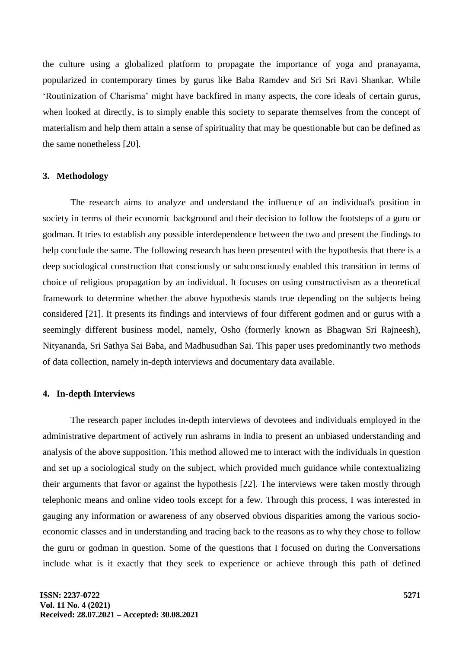the culture using a globalized platform to propagate the importance of yoga and pranayama, popularized in contemporary times by gurus like Baba Ramdev and Sri Sri Ravi Shankar. While 'Routinization of Charisma' might have backfired in many aspects, the core ideals of certain gurus, when looked at directly, is to simply enable this society to separate themselves from the concept of materialism and help them attain a sense of spirituality that may be questionable but can be defined as the same nonetheless [20].

#### **3. Methodology**

The research aims to analyze and understand the influence of an individual's position in society in terms of their economic background and their decision to follow the footsteps of a guru or godman. It tries to establish any possible interdependence between the two and present the findings to help conclude the same. The following research has been presented with the hypothesis that there is a deep sociological construction that consciously or subconsciously enabled this transition in terms of choice of religious propagation by an individual. It focuses on using constructivism as a theoretical framework to determine whether the above hypothesis stands true depending on the subjects being considered [21]. It presents its findings and interviews of four different godmen and or gurus with a seemingly different business model, namely, Osho (formerly known as Bhagwan Sri Rajneesh), Nityananda, Sri Sathya Sai Baba, and Madhusudhan Sai. This paper uses predominantly two methods of data collection, namely in-depth interviews and documentary data available.

# **4. In-depth Interviews**

The research paper includes in-depth interviews of devotees and individuals employed in the administrative department of actively run ashrams in India to present an unbiased understanding and analysis of the above supposition. This method allowed me to interact with the individuals in question and set up a sociological study on the subject, which provided much guidance while contextualizing their arguments that favor or against the hypothesis [22]. The interviews were taken mostly through telephonic means and online video tools except for a few. Through this process, I was interested in gauging any information or awareness of any observed obvious disparities among the various socioeconomic classes and in understanding and tracing back to the reasons as to why they chose to follow the guru or godman in question. Some of the questions that I focused on during the Conversations include what is it exactly that they seek to experience or achieve through this path of defined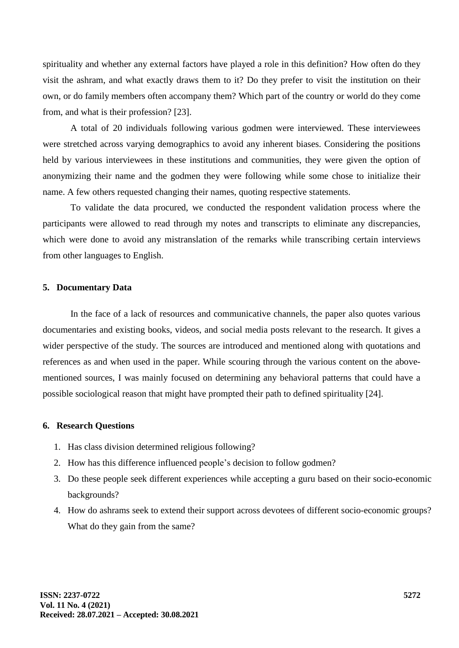spirituality and whether any external factors have played a role in this definition? How often do they visit the ashram, and what exactly draws them to it? Do they prefer to visit the institution on their own, or do family members often accompany them? Which part of the country or world do they come from, and what is their profession? [23].

A total of 20 individuals following various godmen were interviewed. These interviewees were stretched across varying demographics to avoid any inherent biases. Considering the positions held by various interviewees in these institutions and communities, they were given the option of anonymizing their name and the godmen they were following while some chose to initialize their name. A few others requested changing their names, quoting respective statements.

To validate the data procured, we conducted the respondent validation process where the participants were allowed to read through my notes and transcripts to eliminate any discrepancies, which were done to avoid any mistranslation of the remarks while transcribing certain interviews from other languages to English.

#### **5. Documentary Data**

In the face of a lack of resources and communicative channels, the paper also quotes various documentaries and existing books, videos, and social media posts relevant to the research. It gives a wider perspective of the study. The sources are introduced and mentioned along with quotations and references as and when used in the paper. While scouring through the various content on the abovementioned sources, I was mainly focused on determining any behavioral patterns that could have a possible sociological reason that might have prompted their path to defined spirituality [24].

#### **6. Research Questions**

- 1. Has class division determined religious following?
- 2. How has this difference influenced people's decision to follow godmen?
- 3. Do these people seek different experiences while accepting a guru based on their socio-economic backgrounds?
- 4. How do ashrams seek to extend their support across devotees of different socio-economic groups? What do they gain from the same?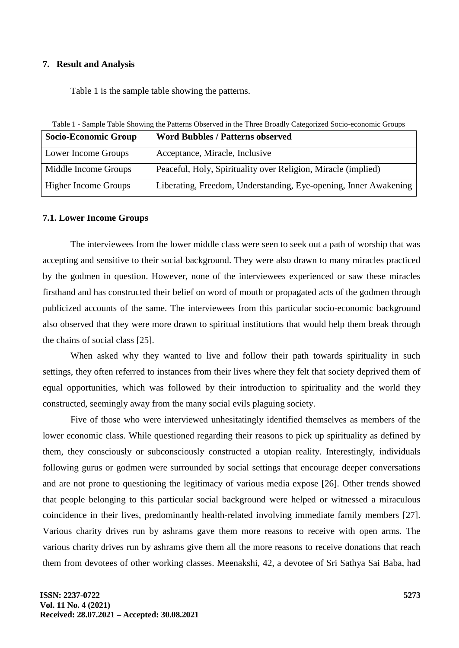## **7. Result and Analysis**

Table 1 is the sample table showing the patterns.

Table 1 - Sample Table Showing the Patterns Observed in the Three Broadly Categorized Socio-economic Groups

| <b>Socio-Economic Group</b> | <b>Word Bubbles / Patterns observed</b>                          |
|-----------------------------|------------------------------------------------------------------|
| Lower Income Groups         | Acceptance, Miracle, Inclusive                                   |
| Middle Income Groups        | Peaceful, Holy, Spirituality over Religion, Miracle (implied)    |
| <b>Higher Income Groups</b> | Liberating, Freedom, Understanding, Eye-opening, Inner Awakening |

### **7.1. Lower Income Groups**

The interviewees from the lower middle class were seen to seek out a path of worship that was accepting and sensitive to their social background. They were also drawn to many miracles practiced by the godmen in question. However, none of the interviewees experienced or saw these miracles firsthand and has constructed their belief on word of mouth or propagated acts of the godmen through publicized accounts of the same. The interviewees from this particular socio-economic background also observed that they were more drawn to spiritual institutions that would help them break through the chains of social class [25].

When asked why they wanted to live and follow their path towards spirituality in such settings, they often referred to instances from their lives where they felt that society deprived them of equal opportunities, which was followed by their introduction to spirituality and the world they constructed, seemingly away from the many social evils plaguing society.

Five of those who were interviewed unhesitatingly identified themselves as members of the lower economic class. While questioned regarding their reasons to pick up spirituality as defined by them, they consciously or subconsciously constructed a utopian reality. Interestingly, individuals following gurus or godmen were surrounded by social settings that encourage deeper conversations and are not prone to questioning the legitimacy of various media expose [26]. Other trends showed that people belonging to this particular social background were helped or witnessed a miraculous coincidence in their lives, predominantly health-related involving immediate family members [27]. Various charity drives run by ashrams gave them more reasons to receive with open arms. The various charity drives run by ashrams give them all the more reasons to receive donations that reach them from devotees of other working classes. Meenakshi, 42, a devotee of Sri Sathya Sai Baba, had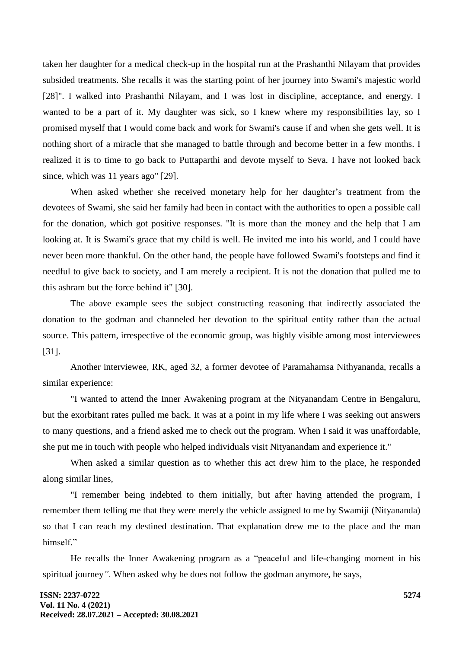taken her daughter for a medical check-up in the hospital run at the Prashanthi Nilayam that provides subsided treatments. She recalls it was the starting point of her journey into Swami's majestic world [28]". I walked into Prashanthi Nilayam, and I was lost in discipline, acceptance, and energy. I wanted to be a part of it. My daughter was sick, so I knew where my responsibilities lay, so I promised myself that I would come back and work for Swami's cause if and when she gets well. It is nothing short of a miracle that she managed to battle through and become better in a few months. I realized it is to time to go back to Puttaparthi and devote myself to Seva. I have not looked back since, which was 11 years ago" [29].

When asked whether she received monetary help for her daughter's treatment from the devotees of Swami, she said her family had been in contact with the authorities to open a possible call for the donation, which got positive responses. "It is more than the money and the help that I am looking at. It is Swami's grace that my child is well. He invited me into his world, and I could have never been more thankful. On the other hand, the people have followed Swami's footsteps and find it needful to give back to society, and I am merely a recipient. It is not the donation that pulled me to this ashram but the force behind it" [30].

The above example sees the subject constructing reasoning that indirectly associated the donation to the godman and channeled her devotion to the spiritual entity rather than the actual source. This pattern, irrespective of the economic group, was highly visible among most interviewees [31].

Another interviewee, RK, aged 32, a former devotee of Paramahamsa Nithyananda, recalls a similar experience:

"I wanted to attend the Inner Awakening program at the Nityanandam Centre in Bengaluru, but the exorbitant rates pulled me back. It was at a point in my life where I was seeking out answers to many questions, and a friend asked me to check out the program. When I said it was unaffordable, she put me in touch with people who helped individuals visit Nityanandam and experience it."

When asked a similar question as to whether this act drew him to the place, he responded along similar lines,

"I remember being indebted to them initially, but after having attended the program, I remember them telling me that they were merely the vehicle assigned to me by Swamiji (Nityananda) so that I can reach my destined destination. That explanation drew me to the place and the man himself."

He recalls the Inner Awakening program as a "peaceful and life-changing moment in his spiritual journey*".* When asked why he does not follow the godman anymore, he says,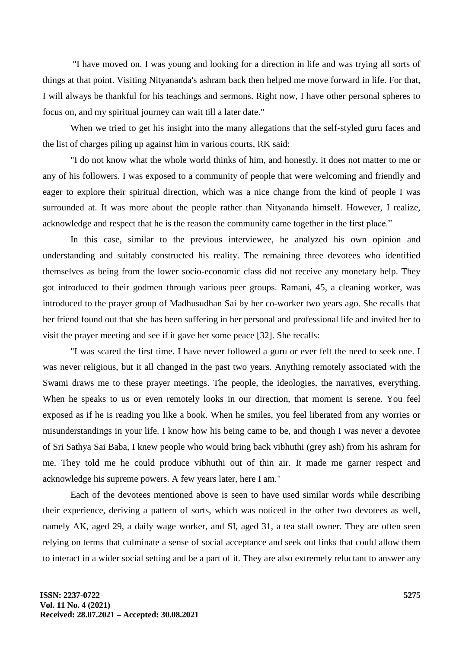"I have moved on. I was young and looking for a direction in life and was trying all sorts of things at that point. Visiting Nityananda's ashram back then helped me move forward in life. For that, I will always be thankful for his teachings and sermons. Right now, I have other personal spheres to focus on, and my spiritual journey can wait till a later date."

When we tried to get his insight into the many allegations that the self-styled guru faces and the list of charges piling up against him in various courts, RK said:

"I do not know what the whole world thinks of him, and honestly, it does not matter to me or any of his followers. I was exposed to a community of people that were welcoming and friendly and eager to explore their spiritual direction, which was a nice change from the kind of people I was surrounded at. It was more about the people rather than Nityananda himself. However, I realize, acknowledge and respect that he is the reason the community came together in the first place."

In this case, similar to the previous interviewee, he analyzed his own opinion and understanding and suitably constructed his reality. The remaining three devotees who identified themselves as being from the lower socio-economic class did not receive any monetary help. They got introduced to their godmen through various peer groups. Ramani, 45, a cleaning worker, was introduced to the prayer group of Madhusudhan Sai by her co-worker two years ago. She recalls that her friend found out that she has been suffering in her personal and professional life and invited her to visit the prayer meeting and see if it gave her some peace [32]. She recalls:

"I was scared the first time. I have never followed a guru or ever felt the need to seek one. I was never religious, but it all changed in the past two years. Anything remotely associated with the Swami draws me to these prayer meetings. The people, the ideologies, the narratives, everything. When he speaks to us or even remotely looks in our direction, that moment is serene. You feel exposed as if he is reading you like a book. When he smiles, you feel liberated from any worries or misunderstandings in your life. I know how his being came to be, and though I was never a devotee of Sri Sathya Sai Baba, I knew people who would bring back vibhuthi (grey ash) from his ashram for me. They told me he could produce vibhuthi out of thin air. It made me garner respect and acknowledge his supreme powers. A few years later, here I am."

Each of the devotees mentioned above is seen to have used similar words while describing their experience, deriving a pattern of sorts, which was noticed in the other two devotees as well, namely AK, aged 29, a daily wage worker, and SI, aged 31, a tea stall owner. They are often seen relying on terms that culminate a sense of social acceptance and seek out links that could allow them to interact in a wider social setting and be a part of it. They are also extremely reluctant to answer any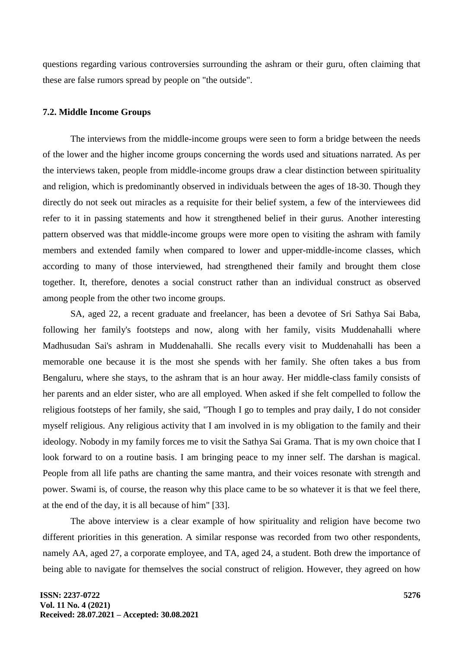questions regarding various controversies surrounding the ashram or their guru, often claiming that these are false rumors spread by people on "the outside".

## **7.2. Middle Income Groups**

The interviews from the middle-income groups were seen to form a bridge between the needs of the lower and the higher income groups concerning the words used and situations narrated. As per the interviews taken, people from middle-income groups draw a clear distinction between spirituality and religion, which is predominantly observed in individuals between the ages of 18-30. Though they directly do not seek out miracles as a requisite for their belief system, a few of the interviewees did refer to it in passing statements and how it strengthened belief in their gurus. Another interesting pattern observed was that middle-income groups were more open to visiting the ashram with family members and extended family when compared to lower and upper-middle-income classes, which according to many of those interviewed, had strengthened their family and brought them close together. It, therefore, denotes a social construct rather than an individual construct as observed among people from the other two income groups.

SA, aged 22, a recent graduate and freelancer, has been a devotee of Sri Sathya Sai Baba, following her family's footsteps and now, along with her family, visits Muddenahalli where Madhusudan Sai's ashram in Muddenahalli. She recalls every visit to Muddenahalli has been a memorable one because it is the most she spends with her family. She often takes a bus from Bengaluru, where she stays, to the ashram that is an hour away. Her middle-class family consists of her parents and an elder sister, who are all employed. When asked if she felt compelled to follow the religious footsteps of her family, she said, "Though I go to temples and pray daily, I do not consider myself religious. Any religious activity that I am involved in is my obligation to the family and their ideology. Nobody in my family forces me to visit the Sathya Sai Grama. That is my own choice that I look forward to on a routine basis. I am bringing peace to my inner self. The darshan is magical. People from all life paths are chanting the same mantra, and their voices resonate with strength and power. Swami is, of course, the reason why this place came to be so whatever it is that we feel there, at the end of the day, it is all because of him" [33].

The above interview is a clear example of how spirituality and religion have become two different priorities in this generation. A similar response was recorded from two other respondents, namely AA, aged 27, a corporate employee, and TA, aged 24, a student. Both drew the importance of being able to navigate for themselves the social construct of religion. However, they agreed on how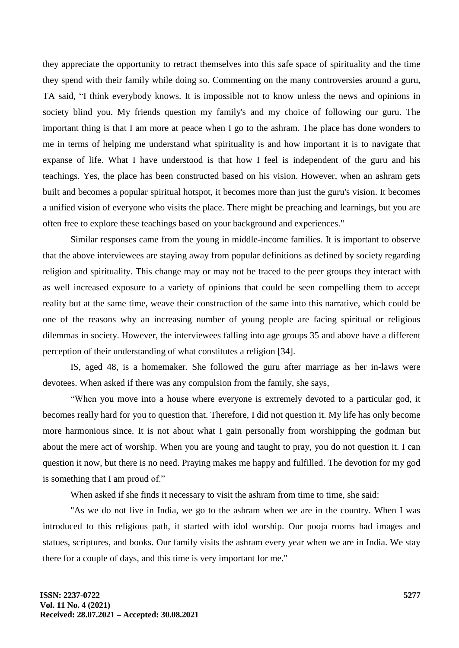they appreciate the opportunity to retract themselves into this safe space of spirituality and the time they spend with their family while doing so. Commenting on the many controversies around a guru, TA said, "I think everybody knows. It is impossible not to know unless the news and opinions in society blind you. My friends question my family's and my choice of following our guru. The important thing is that I am more at peace when I go to the ashram. The place has done wonders to me in terms of helping me understand what spirituality is and how important it is to navigate that expanse of life. What I have understood is that how I feel is independent of the guru and his teachings. Yes, the place has been constructed based on his vision. However, when an ashram gets built and becomes a popular spiritual hotspot, it becomes more than just the guru's vision. It becomes a unified vision of everyone who visits the place. There might be preaching and learnings, but you are often free to explore these teachings based on your background and experiences."

Similar responses came from the young in middle-income families. It is important to observe that the above interviewees are staying away from popular definitions as defined by society regarding religion and spirituality. This change may or may not be traced to the peer groups they interact with as well increased exposure to a variety of opinions that could be seen compelling them to accept reality but at the same time, weave their construction of the same into this narrative, which could be one of the reasons why an increasing number of young people are facing spiritual or religious dilemmas in society. However, the interviewees falling into age groups 35 and above have a different perception of their understanding of what constitutes a religion [34].

IS, aged 48, is a homemaker. She followed the guru after marriage as her in-laws were devotees. When asked if there was any compulsion from the family, she says,

"When you move into a house where everyone is extremely devoted to a particular god, it becomes really hard for you to question that. Therefore, I did not question it. My life has only become more harmonious since. It is not about what I gain personally from worshipping the godman but about the mere act of worship. When you are young and taught to pray, you do not question it. I can question it now, but there is no need. Praying makes me happy and fulfilled. The devotion for my god is something that I am proud of."

When asked if she finds it necessary to visit the ashram from time to time, she said:

"As we do not live in India, we go to the ashram when we are in the country. When I was introduced to this religious path, it started with idol worship. Our pooja rooms had images and statues, scriptures, and books. Our family visits the ashram every year when we are in India. We stay there for a couple of days, and this time is very important for me."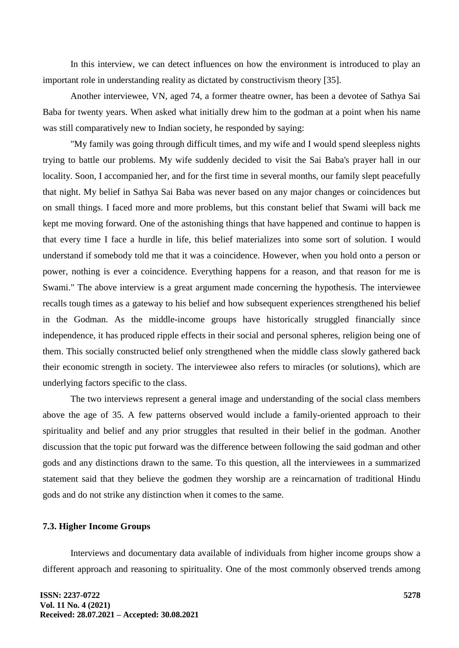In this interview, we can detect influences on how the environment is introduced to play an important role in understanding reality as dictated by constructivism theory [35].

Another interviewee, VN, aged 74, a former theatre owner, has been a devotee of Sathya Sai Baba for twenty years. When asked what initially drew him to the godman at a point when his name was still comparatively new to Indian society, he responded by saying:

"My family was going through difficult times, and my wife and I would spend sleepless nights trying to battle our problems. My wife suddenly decided to visit the Sai Baba's prayer hall in our locality. Soon, I accompanied her, and for the first time in several months, our family slept peacefully that night. My belief in Sathya Sai Baba was never based on any major changes or coincidences but on small things. I faced more and more problems, but this constant belief that Swami will back me kept me moving forward. One of the astonishing things that have happened and continue to happen is that every time I face a hurdle in life, this belief materializes into some sort of solution. I would understand if somebody told me that it was a coincidence. However, when you hold onto a person or power, nothing is ever a coincidence. Everything happens for a reason, and that reason for me is Swami." The above interview is a great argument made concerning the hypothesis. The interviewee recalls tough times as a gateway to his belief and how subsequent experiences strengthened his belief in the Godman. As the middle-income groups have historically struggled financially since independence, it has produced ripple effects in their social and personal spheres, religion being one of them. This socially constructed belief only strengthened when the middle class slowly gathered back their economic strength in society. The interviewee also refers to miracles (or solutions), which are underlying factors specific to the class.

The two interviews represent a general image and understanding of the social class members above the age of 35. A few patterns observed would include a family-oriented approach to their spirituality and belief and any prior struggles that resulted in their belief in the godman. Another discussion that the topic put forward was the difference between following the said godman and other gods and any distinctions drawn to the same. To this question, all the interviewees in a summarized statement said that they believe the godmen they worship are a reincarnation of traditional Hindu gods and do not strike any distinction when it comes to the same.

## **7.3. Higher Income Groups**

Interviews and documentary data available of individuals from higher income groups show a different approach and reasoning to spirituality. One of the most commonly observed trends among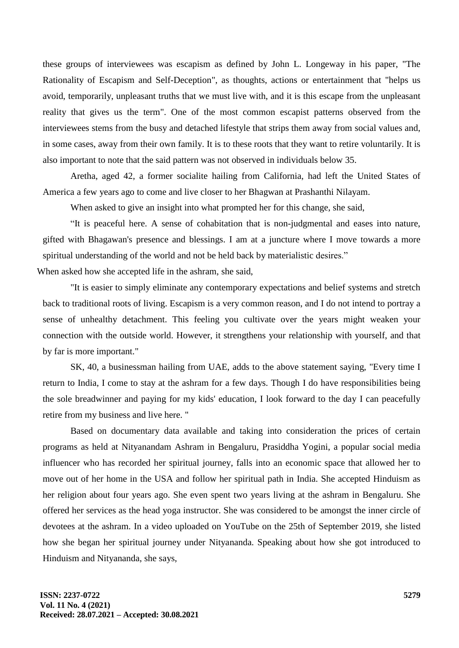these groups of interviewees was escapism as defined by John L. Longeway in his paper, "The Rationality of Escapism and Self-Deception", as thoughts, actions or entertainment that "helps us avoid, temporarily, unpleasant truths that we must live with, and it is this escape from the unpleasant reality that gives us the term". One of the most common escapist patterns observed from the interviewees stems from the busy and detached lifestyle that strips them away from social values and, in some cases, away from their own family. It is to these roots that they want to retire voluntarily. It is also important to note that the said pattern was not observed in individuals below 35.

Aretha, aged 42, a former socialite hailing from California, had left the United States of America a few years ago to come and live closer to her Bhagwan at Prashanthi Nilayam.

When asked to give an insight into what prompted her for this change, she said,

"It is peaceful here. A sense of cohabitation that is non-judgmental and eases into nature, gifted with Bhagawan's presence and blessings. I am at a juncture where I move towards a more spiritual understanding of the world and not be held back by materialistic desires."

When asked how she accepted life in the ashram, she said,

"It is easier to simply eliminate any contemporary expectations and belief systems and stretch back to traditional roots of living. Escapism is a very common reason, and I do not intend to portray a sense of unhealthy detachment. This feeling you cultivate over the years might weaken your connection with the outside world. However, it strengthens your relationship with yourself, and that by far is more important."

SK, 40, a businessman hailing from UAE, adds to the above statement saying, "Every time I return to India, I come to stay at the ashram for a few days. Though I do have responsibilities being the sole breadwinner and paying for my kids' education, I look forward to the day I can peacefully retire from my business and live here. "

Based on documentary data available and taking into consideration the prices of certain programs as held at Nityanandam Ashram in Bengaluru, Prasiddha Yogini, a popular social media influencer who has recorded her spiritual journey, falls into an economic space that allowed her to move out of her home in the USA and follow her spiritual path in India. She accepted Hinduism as her religion about four years ago. She even spent two years living at the ashram in Bengaluru. She offered her services as the head yoga instructor. She was considered to be amongst the inner circle of devotees at the ashram. In a video uploaded on YouTube on the 25th of September 2019, she listed how she began her spiritual journey under Nityananda. Speaking about how she got introduced to Hinduism and Nityananda, she says,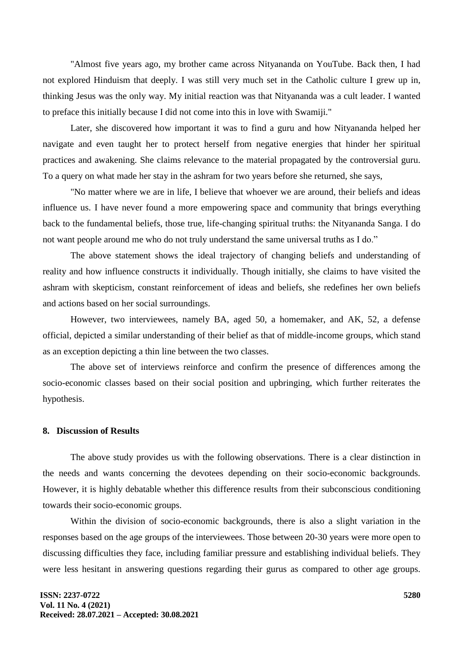"Almost five years ago, my brother came across Nityananda on YouTube. Back then, I had not explored Hinduism that deeply. I was still very much set in the Catholic culture I grew up in, thinking Jesus was the only way. My initial reaction was that Nityananda was a cult leader. I wanted to preface this initially because I did not come into this in love with Swamiji."

Later, she discovered how important it was to find a guru and how Nityananda helped her navigate and even taught her to protect herself from negative energies that hinder her spiritual practices and awakening. She claims relevance to the material propagated by the controversial guru. To a query on what made her stay in the ashram for two years before she returned, she says,

"No matter where we are in life, I believe that whoever we are around, their beliefs and ideas influence us. I have never found a more empowering space and community that brings everything back to the fundamental beliefs, those true, life-changing spiritual truths: the Nityananda Sanga. I do not want people around me who do not truly understand the same universal truths as I do."

The above statement shows the ideal trajectory of changing beliefs and understanding of reality and how influence constructs it individually. Though initially, she claims to have visited the ashram with skepticism, constant reinforcement of ideas and beliefs, she redefines her own beliefs and actions based on her social surroundings.

However, two interviewees, namely BA, aged 50, a homemaker, and AK, 52, a defense official, depicted a similar understanding of their belief as that of middle-income groups, which stand as an exception depicting a thin line between the two classes.

The above set of interviews reinforce and confirm the presence of differences among the socio-economic classes based on their social position and upbringing, which further reiterates the hypothesis.

#### **8. Discussion of Results**

The above study provides us with the following observations. There is a clear distinction in the needs and wants concerning the devotees depending on their socio-economic backgrounds. However, it is highly debatable whether this difference results from their subconscious conditioning towards their socio-economic groups.

Within the division of socio-economic backgrounds, there is also a slight variation in the responses based on the age groups of the interviewees. Those between 20-30 years were more open to discussing difficulties they face, including familiar pressure and establishing individual beliefs. They were less hesitant in answering questions regarding their gurus as compared to other age groups.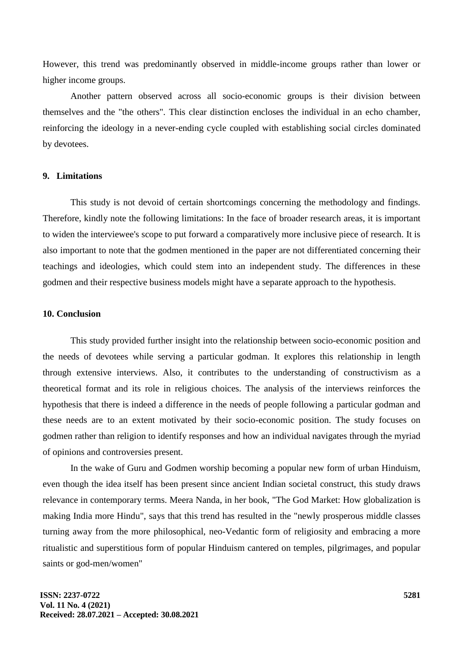However, this trend was predominantly observed in middle-income groups rather than lower or higher income groups.

Another pattern observed across all socio-economic groups is their division between themselves and the "the others". This clear distinction encloses the individual in an echo chamber, reinforcing the ideology in a never-ending cycle coupled with establishing social circles dominated by devotees.

## **9. Limitations**

This study is not devoid of certain shortcomings concerning the methodology and findings. Therefore, kindly note the following limitations: In the face of broader research areas, it is important to widen the interviewee's scope to put forward a comparatively more inclusive piece of research. It is also important to note that the godmen mentioned in the paper are not differentiated concerning their teachings and ideologies, which could stem into an independent study. The differences in these godmen and their respective business models might have a separate approach to the hypothesis.

#### **10. Conclusion**

This study provided further insight into the relationship between socio-economic position and the needs of devotees while serving a particular godman. It explores this relationship in length through extensive interviews. Also, it contributes to the understanding of constructivism as a theoretical format and its role in religious choices. The analysis of the interviews reinforces the hypothesis that there is indeed a difference in the needs of people following a particular godman and these needs are to an extent motivated by their socio-economic position. The study focuses on godmen rather than religion to identify responses and how an individual navigates through the myriad of opinions and controversies present.

In the wake of Guru and Godmen worship becoming a popular new form of urban Hinduism, even though the idea itself has been present since ancient Indian societal construct, this study draws relevance in contemporary terms. Meera Nanda, in her book, "The God Market: How globalization is making India more Hindu", says that this trend has resulted in the "newly prosperous middle classes turning away from the more philosophical, neo-Vedantic form of religiosity and embracing a more ritualistic and superstitious form of popular Hinduism cantered on temples, pilgrimages, and popular saints or god-men/women"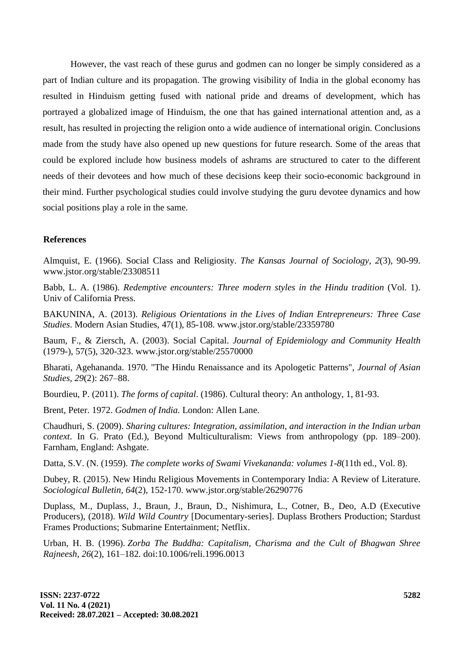However, the vast reach of these gurus and godmen can no longer be simply considered as a part of Indian culture and its propagation. The growing visibility of India in the global economy has resulted in Hinduism getting fused with national pride and dreams of development, which has portrayed a globalized image of Hinduism, the one that has gained international attention and, as a result, has resulted in projecting the religion onto a wide audience of international origin. Conclusions made from the study have also opened up new questions for future research. Some of the areas that could be explored include how business models of ashrams are structured to cater to the different needs of their devotees and how much of these decisions keep their socio-economic background in their mind. Further psychological studies could involve studying the guru devotee dynamics and how social positions play a role in the same.

## **References**

Almquist, E. (1966). Social Class and Religiosity. *The Kansas Journal of Sociology, 2*(3), 90-99. www.jstor.org/stable/23308511

Babb, L. A. (1986). *Redemptive encounters: Three modern styles in the Hindu tradition* (Vol. 1). Univ of California Press.

BAKUNINA, A. (2013). *Religious Orientations in the Lives of Indian Entrepreneurs: Three Case Studies*. Modern Asian Studies, 47(1), 85-108. www.jstor.org/stable/23359780

Baum, F., & Ziersch, A. (2003). Social Capital. *Journal of Epidemiology and Community Health* (1979-), 57(5), 320-323. [www.jstor.org/stable/25570000](http://www.jstor.org/stable/25570000)

Bharati, Agehananda. 1970. "The Hindu Renaissance and its Apologetic Patterns", *Journal of Asian Studies, 29*(2): 267–88.

Bourdieu, P. (2011). *The forms of capital*. (1986). Cultural theory: An anthology, 1, 81-93.

Brent, Peter. 1972. *Godmen of India.* London: Allen Lane.

Chaudhuri, S. (2009). *Sharing cultures: Integration, assimilation, and interaction in the Indian urban context*. In G. Prato (Ed.), Beyond Multiculturalism: Views from anthropology (pp. 189–200). Farnham, England: Ashgate.

Datta, S.V. (N. (1959). *The complete works of Swami Vivekananda: volumes 1-8*(11th ed., Vol. 8).

Dubey, R. (2015). New Hindu Religious Movements in Contemporary India: A Review of Literature. *Sociological Bulletin, 64*(2), 152-170. [www.jstor.org/stable/26290776](http://www.jstor.org/stable/26290776)

Duplass, M., Duplass, J., Braun, J., Braun, D., Nishimura, L., Cotner, B., Deo, A.D (Executive Producers), (2018). *Wild Wild Country* [Documentary-series]. Duplass Brothers Production; Stardust Frames Productions; Submarine Entertainment; Netflix.

Urban, H. B. (1996). *Zorba The Buddha: Capitalism, Charisma and the Cult of Bhagwan Shree Rajneesh, 26*(2), 161–182*.* doi:10.1006/reli.1996.0013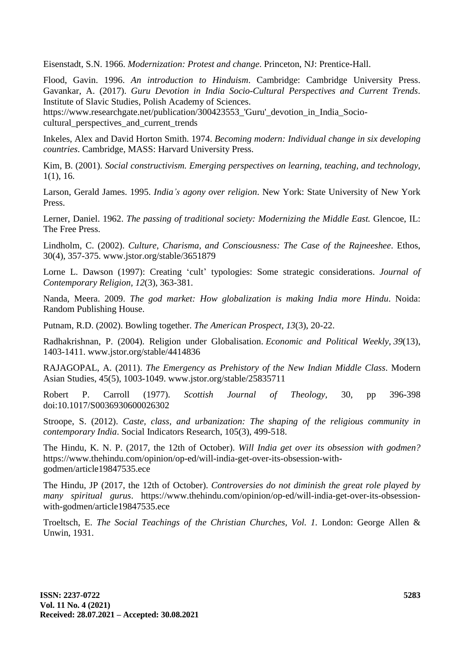Eisenstadt, S.N. 1966. *Modernization: Protest and change*. Princeton, NJ: Prentice-Hall.

Flood, Gavin. 1996. *An introduction to Hinduism*. Cambridge: Cambridge University Press. Gavankar, A. (2017). *Guru Devotion in India Socio-Cultural Perspectives and Current Trends*. Institute of Slavic Studies, Polish Academy of Sciences.

[https://www.researchgate.net/publication/300423553\\_'Guru'\\_devotion\\_in\\_India\\_Socio](https://www.researchgate.net/publication/300423553_)cultural perspectives and current trends

Inkeles, Alex and David Horton Smith. 1974. *Becoming modern: Individual change in six developing countries*. Cambridge, MASS: Harvard University Press.

Kim, B. (2001). *Social constructivism. Emerging perspectives on learning, teaching, and technology*, 1(1), 16.

Larson, Gerald James. 1995. *India's agony over religion*. New York: State University of New York Press.

Lerner, Daniel. 1962. *The passing of traditional society: Modernizing the Middle East.* Glencoe, IL: The Free Press.

Lindholm, C. (2002). *Culture, Charisma, and Consciousness: The Case of the Rajneeshee*. Ethos, 30(4), 357-375. www.jstor.org/stable/3651879

Lorne L. Dawson (1997): Creating 'cult' typologies: Some strategic considerations. *Journal of Contemporary Religion, 12*(3), 363-381.

Nanda, Meera. 2009. *The god market: How globalization is making India more Hindu*. Noida: Random Publishing House.

Putnam, R.D. (2002). Bowling together. *The American Prospect, 13*(3), 20-22.

Radhakrishnan, P. (2004). Religion under Globalisation. *Economic and Political Weekly, 39*(13), 1403-1411. www.jstor.org/stable/4414836

RAJAGOPAL, A. (2011). *The Emergency as Prehistory of the New Indian Middle Class*. Modern Asian Studies, 45(5), 1003-1049. www.jstor.org/stable/25835711

Robert P. Carroll (1977). *Scottish Journal of Theology,* 30, pp 396-398 doi:10.1017/S0036930600026302

Stroope, S. (2012). *Caste, class, and urbanization: The shaping of the religious community in contemporary India*. Social Indicators Research, 105(3), 499-518.

The Hindu, K. N. P. (2017, the 12th of October). *Will India get over its obsession with godmen?* https://www.thehindu.com/opinion/op-ed/will-india-get-over-its-obsession-withgodmen/article19847535.ece

The Hindu, JP (2017, the 12th of October). *Controversies do not diminish the great role played by many spiritual gurus*. [https://www.thehindu.com/opinion/op-ed/will-india-get-over-its-obsession](https://www.thehindu.com/opinion/op-ed/will-india-get-over-its-obsession-with-godmen/article19847535.ece)[with-godmen/article19847535.ece](https://www.thehindu.com/opinion/op-ed/will-india-get-over-its-obsession-with-godmen/article19847535.ece)

Troeltsch, E. *The Social Teachings of the Christian Churches, Vol. 1.* London: George Allen & Unwin, 1931.